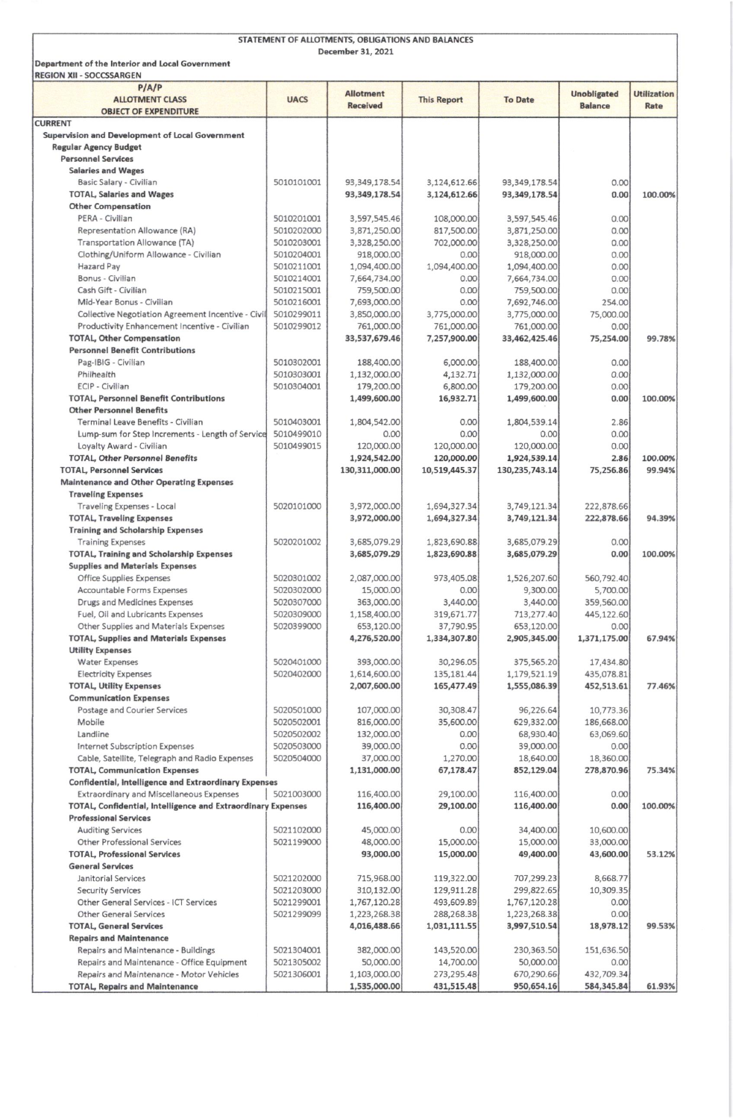| STATEMENT OF ALLOTMENTS, OBLIGATIONS AND BALANCES                                                        |                          |                                     |                            |                              |                                      |                            |  |  |  |  |
|----------------------------------------------------------------------------------------------------------|--------------------------|-------------------------------------|----------------------------|------------------------------|--------------------------------------|----------------------------|--|--|--|--|
| December 31, 2021<br>Department of the Interior and Local Government<br><b>REGION XII - SOCCSSARGEN</b>  |                          |                                     |                            |                              |                                      |                            |  |  |  |  |
| P/AP<br><b>ALLOTMENT CLASS</b>                                                                           | <b>UACS</b>              | <b>Allotment</b><br><b>Received</b> | <b>This Report</b>         | <b>To Date</b>               | <b>Unobligated</b><br><b>Balance</b> | <b>Utilization</b><br>Rate |  |  |  |  |
| <b>OBJECT OF EXPENDITURE</b><br><b>CURRENT</b>                                                           |                          |                                     |                            |                              |                                      |                            |  |  |  |  |
| Supervision and Development of Local Government                                                          |                          |                                     |                            |                              |                                      |                            |  |  |  |  |
| <b>Regular Agency Budget</b>                                                                             |                          |                                     |                            |                              |                                      |                            |  |  |  |  |
| <b>Personnel Services</b><br><b>Salaries and Wages</b>                                                   |                          |                                     |                            |                              |                                      |                            |  |  |  |  |
| Basic Salary - Civilian                                                                                  | 5010101001               | 93,349,178.54                       | 3,124,612.66               | 93,349,178.54                | 0.00                                 |                            |  |  |  |  |
| <b>TOTAL, Salaries and Wages</b>                                                                         |                          | 93,349,178.54                       | 3,124,612.66               | 93,349,178.54                | 0.00                                 | 100.00%                    |  |  |  |  |
| <b>Other Compensation</b>                                                                                |                          |                                     |                            |                              |                                      |                            |  |  |  |  |
| PERA - Civilian                                                                                          | 5010201001               | 3,597,545.46                        | 108,000.00                 | 3,597,545.46                 | 0.00                                 |                            |  |  |  |  |
| Representation Allowance (RA)                                                                            | 5010202000               | 3,871,250.00                        | 817,500.00                 | 3,871,250.00                 | 0.00                                 |                            |  |  |  |  |
| Transportation Allowance (TA)<br>Clothing/Uniform Allowance - Civilian                                   | 5010203001<br>5010204001 | 3,328,250.00<br>918,000.00          | 702,000.00<br>0.00         | 3,328,250.00<br>918,000.00   | 0.00<br>0.00                         |                            |  |  |  |  |
| <b>Hazard Pay</b>                                                                                        | 5010211001               | 1,094,400.00                        | 1,094,400.00               | 1,094,400.00                 | 0.00                                 |                            |  |  |  |  |
| Bonus - Civilian                                                                                         | 5010214001               | 7,664,734.00                        | 0.00                       | 7,664,734.00                 | 0.00                                 |                            |  |  |  |  |
| Cash Gift - Civilian                                                                                     | 5010215001               | 759,500.00                          | 0.00                       | 759,500.00                   | 0.00                                 |                            |  |  |  |  |
| Mid-Year Bonus - Civilian                                                                                | 5010216001               | 7,693,000.00                        | 0.00                       | 7,692,746.00                 | 254.00                               |                            |  |  |  |  |
| Collective Negotiation Agreement Incentive - Civil                                                       | 5010299011               | 3,850,000.00                        | 3,775,000.00               | 3,775,000.00                 | 75,000.00                            |                            |  |  |  |  |
| Productivity Enhancement Incentive - Civilian<br><b>TOTAL, Other Compensation</b>                        | 5010299012               | 761,000.00<br>33,537,679.46         | 761,000.00<br>7,257,900.00 | 761,000.00<br>33,462,425.46  | 0.00<br>75,254.00                    | 99.78%                     |  |  |  |  |
| <b>Personnel Benefit Contributions</b>                                                                   |                          |                                     |                            |                              |                                      |                            |  |  |  |  |
| Pag-IBIG - Civilian                                                                                      | 5010302001               | 188,400.00                          | 6,000.00                   | 188,400.00                   | 0.00                                 |                            |  |  |  |  |
| Philhealth                                                                                               | 5010303001               | 1,132,000.00                        | 4,132.71                   | 1,132,000.00                 | 0.00                                 |                            |  |  |  |  |
| ECIP - Civilian                                                                                          | 5010304001               | 179,200.00                          | 6,800.00                   | 179,200.00                   | 0.00                                 |                            |  |  |  |  |
| <b>TOTAL, Personnel Benefit Contributions</b>                                                            |                          | 1,499,600.00                        | 16,932.71                  | 1,499,600.00                 | 0.00                                 | 100.00%                    |  |  |  |  |
| <b>Other Personnel Benefits</b>                                                                          |                          |                                     |                            |                              |                                      |                            |  |  |  |  |
| Terminal Leave Benefits - Civilian<br>Lump-sum for Step Increments - Length of Service                   | 5010403001<br>5010499010 | 1,804,542.00<br>0.00                | 0.00<br>0.00               | 1,804,539.14<br>0.00         | 2.86<br>0.00                         |                            |  |  |  |  |
| Loyalty Award - Civilian                                                                                 | 5010499015               | 120,000.00                          | 120,000.00                 | 120,000.00                   | 0.00                                 |                            |  |  |  |  |
| <b>TOTAL, Other Personnel Benefits</b>                                                                   |                          | 1,924,542.00                        | 120,000.00                 | 1,924,539.14                 | 2.86                                 | 100.00%                    |  |  |  |  |
| <b>TOTAL, Personnel Services</b>                                                                         |                          | 130,311,000.00                      | 10,519,445.37              | 130,235,743.14               | 75,256.86                            | 99.94%                     |  |  |  |  |
| <b>Maintenance and Other Operating Expenses</b>                                                          |                          |                                     |                            |                              |                                      |                            |  |  |  |  |
| <b>Traveling Expenses</b>                                                                                |                          |                                     |                            |                              |                                      |                            |  |  |  |  |
| <b>Traveling Expenses - Local</b>                                                                        | 5020101000               | 3,972,000.00                        | 1,694,327.34               | 3,749,121.34                 | 222,878.66                           |                            |  |  |  |  |
| <b>TOTAL, Traveling Expenses</b><br><b>Training and Scholarship Expenses</b>                             |                          | 3,972,000.00                        | 1,694,327.34               | 3,749,121.34                 | 222,878.66                           | 94.39%                     |  |  |  |  |
| <b>Training Expenses</b>                                                                                 | 5020201002               | 3,685,079.29                        | 1,823,690.88               | 3,685,079.29                 | 0.00                                 |                            |  |  |  |  |
| <b>TOTAL, Training and Scholarship Expenses</b>                                                          |                          | 3,685,079.29                        | 1,823,690.88               | 3,685,079.29                 | 0.00                                 | 100.00%                    |  |  |  |  |
| <b>Supplies and Materials Expenses</b>                                                                   |                          |                                     |                            |                              |                                      |                            |  |  |  |  |
| Office Supplies Expenses                                                                                 | 5020301002               | 2,087,000.00                        | 973,405.08                 | 1,526,207.60                 | 560,792.40                           |                            |  |  |  |  |
| Accountable Forms Expenses                                                                               | 5020302000               | 15,000.00                           | 0.00                       | 9,300.00                     | 5,700.00                             |                            |  |  |  |  |
| Drugs and Medicines Expenses                                                                             | 5020307000               | 363,000.00                          | 3,440.00                   | 3,440.00                     | 359,560.00                           |                            |  |  |  |  |
| Fuel, Oil and Lubricants Expenses<br>Other Supplies and Materials Expenses                               | 5020309000<br>5020399000 | 1,158,400.00<br>653,120.00          | 319,671.77<br>37,790.95    | 713,277.40<br>653,120.00     | 445,122.60<br>0.00                   |                            |  |  |  |  |
| <b>TOTAL, Supplies and Materials Expenses</b>                                                            |                          | 4,276,520.00                        | 1,334,307.80               | 2,905,345.00                 | 1,371,175.00                         | 67.94%                     |  |  |  |  |
| <b>Utility Expenses</b>                                                                                  |                          |                                     |                            |                              |                                      |                            |  |  |  |  |
| <b>Water Expenses</b>                                                                                    | 5020401000               | 393,000.00                          | 30,296.05                  | 375,565.20                   | 17,434.80                            |                            |  |  |  |  |
| <b>Electricity Expenses</b>                                                                              | 5020402000               | 1,614,600.00                        | 135,181.44                 | 1,179,521.19                 | 435,078.81                           |                            |  |  |  |  |
| <b>TOTAL, Utility Expenses</b>                                                                           |                          | 2,007,600.00                        | 165,477.49                 | 1,555,086.39                 | 452,513.61                           | 77.46%                     |  |  |  |  |
| <b>Communication Expenses</b>                                                                            | 5020501000               |                                     |                            |                              |                                      |                            |  |  |  |  |
| Postage and Courier Services<br>Mobile                                                                   | 5020502001               | 107,000.00<br>816,000.00            | 30,308.47<br>35,600.00     | 96,226.64<br>629,332.00      | 10,773.36<br>186,668.00              |                            |  |  |  |  |
| Landline                                                                                                 | 5020502002               | 132,000.00                          | 0.00                       | 68,930.40                    | 63,069.60                            |                            |  |  |  |  |
| Internet Subscription Expenses                                                                           | 5020503000               | 39,000.00                           | 0.00                       | 39,000.00                    | 0.00                                 |                            |  |  |  |  |
| Cable, Satellite, Telegraph and Radio Expenses                                                           | 5020504000               | 37,000.00                           | 1,270.00                   | 18,640.00                    | 18,360.00                            |                            |  |  |  |  |
| <b>TOTAL, Communication Expenses</b>                                                                     |                          | 1,131,000.00                        | 67,178.47                  | 852,129.04                   | 278,870.96                           | 75.34%                     |  |  |  |  |
| Confidential, Intelligence and Extraordinary Expenses                                                    |                          |                                     |                            |                              |                                      |                            |  |  |  |  |
| Extraordinary and Miscellaneous Expenses<br>TOTAL, Confidential, Intelligence and Extraordinary Expenses | 5021003000               | 116,400.00<br>116,400.00            | 29,100.00<br>29,100.00     | 116,400.00<br>116,400.00     | 0.00<br>0.00                         | 100.00%                    |  |  |  |  |
| <b>Professional Services</b>                                                                             |                          |                                     |                            |                              |                                      |                            |  |  |  |  |
| <b>Auditing Services</b>                                                                                 | 5021102000               | 45,000.00                           | 0.00                       | 34,400.00                    | 10,600.00                            |                            |  |  |  |  |
| <b>Other Professional Services</b>                                                                       | 5021199000               | 48,000.00                           | 15,000.00                  | 15,000.00                    | 33,000.00                            |                            |  |  |  |  |
| <b>TOTAL, Professional Services</b>                                                                      |                          | 93,000.00                           | 15,000.00                  | 49,400.00                    | 43,600.00                            | 53.12%                     |  |  |  |  |
| <b>General Services</b>                                                                                  |                          |                                     |                            |                              |                                      |                            |  |  |  |  |
| Janitorial Services                                                                                      | 5021202000               | 715,968.00                          | 119,322.00                 | 707,299.23                   | 8,668.77                             |                            |  |  |  |  |
| <b>Security Services</b>                                                                                 | 5021203000               | 310,132.00                          | 129,911.28                 | 299,822.65                   | 10,309.35                            |                            |  |  |  |  |
| Other General Services - ICT Services<br><b>Other General Services</b>                                   | 5021299001<br>5021299099 | 1,767,120.28<br>1,223,268.38        | 493,609.89<br>288,268.38   | 1,767,120.28<br>1,223,268.38 | 0.00<br>0.00                         |                            |  |  |  |  |
| <b>TOTAL, General Services</b>                                                                           |                          | 4,016,488.66                        | 1,031,111.55               | 3,997,510.54                 | 18,978.12                            | 99.53%                     |  |  |  |  |
| <b>Repairs and Maintenance</b>                                                                           |                          |                                     |                            |                              |                                      |                            |  |  |  |  |
| Repairs and Maintenance - Buildings                                                                      | 5021304001               | 382,000.00                          | 143,520.00                 | 230,363.50                   | 151,636.50                           |                            |  |  |  |  |
| Repairs and Maintenance - Office Equipment                                                               | 5021305002               | 50,000.00                           | 14,700.00                  | 50,000.00                    | 0.00                                 |                            |  |  |  |  |
| Repairs and Maintenance - Motor Vehicles                                                                 | 5021306001               | 1,103,000.00                        | 273,295.48                 | 670,290.66                   | 432,709.34                           |                            |  |  |  |  |
| <b>TOTAL, Repairs and Maintenance</b>                                                                    |                          | 1,535,000.00                        | 431,515.48                 | 950,654.16                   | 584,345.84                           | 61.93%                     |  |  |  |  |